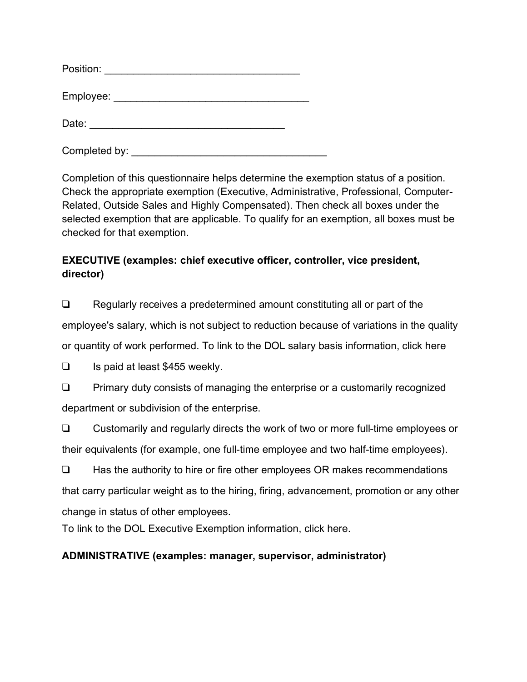| Position: |  |  |
|-----------|--|--|
| Employee: |  |  |
| Date:     |  |  |

Completed by:

Completion of this questionnaire helps determine the exemption status of a position. Check the appropriate exemption (Executive, Administrative, Professional, Computer-Related, Outside Sales and Highly Compensated). Then check all boxes under the selected exemption that are applicable. To qualify for an exemption, all boxes must be checked for that exemption.

## **EXECUTIVE (examples: chief executive officer, controller, vice president, director)**

❑ Regularly receives a predetermined amount constituting all or part of the employee's salary, which is not subject to reduction because of variations in the quality or quantity of work performed. To link to the DOL salary basis information, click here

❑ Is paid at least \$455 weekly.

❑ Primary duty consists of managing the enterprise or a customarily recognized department or subdivision of the enterprise.

❑ Customarily and regularly directs the work of two or more full-time employees or their equivalents (for example, one full-time employee and two half-time employees).

❑ Has the authority to hire or fire other employees OR makes recommendations that carry particular weight as to the hiring, firing, advancement, promotion or any other change in status of other employees.

To link to the DOL Executive Exemption information, click here.

# **ADMINISTRATIVE (examples: manager, supervisor, administrator)**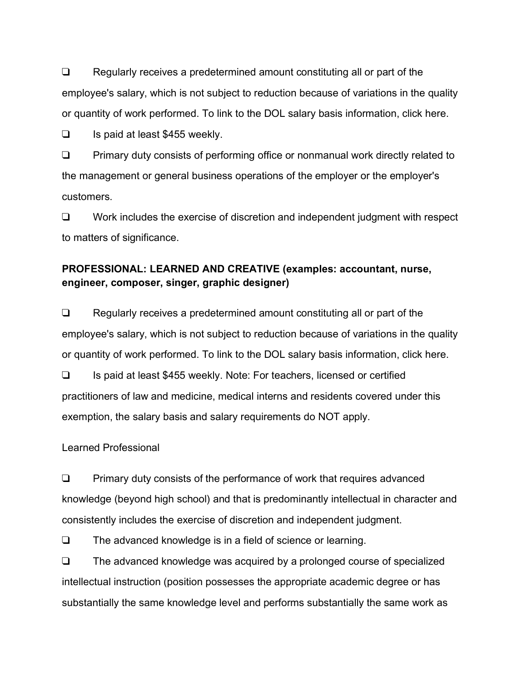❑ Regularly receives a predetermined amount constituting all or part of the employee's salary, which is not subject to reduction because of variations in the quality or quantity of work performed. To link to the DOL salary basis information, click here.

❑ Is paid at least \$455 weekly.

❑ Primary duty consists of performing office or nonmanual work directly related to the management or general business operations of the employer or the employer's customers.

❑ Work includes the exercise of discretion and independent judgment with respect to matters of significance.

### **PROFESSIONAL: LEARNED AND CREATIVE (examples: accountant, nurse, engineer, composer, singer, graphic designer)**

❑ Regularly receives a predetermined amount constituting all or part of the employee's salary, which is not subject to reduction because of variations in the quality or quantity of work performed. To link to the DOL salary basis information, click here.

❑ Is paid at least \$455 weekly. Note: For teachers, licensed or certified practitioners of law and medicine, medical interns and residents covered under this exemption, the salary basis and salary requirements do NOT apply.

#### Learned Professional

❑ Primary duty consists of the performance of work that requires advanced knowledge (beyond high school) and that is predominantly intellectual in character and consistently includes the exercise of discretion and independent judgment.

❑ The advanced knowledge is in a field of science or learning.

❑ The advanced knowledge was acquired by a prolonged course of specialized intellectual instruction (position possesses the appropriate academic degree or has substantially the same knowledge level and performs substantially the same work as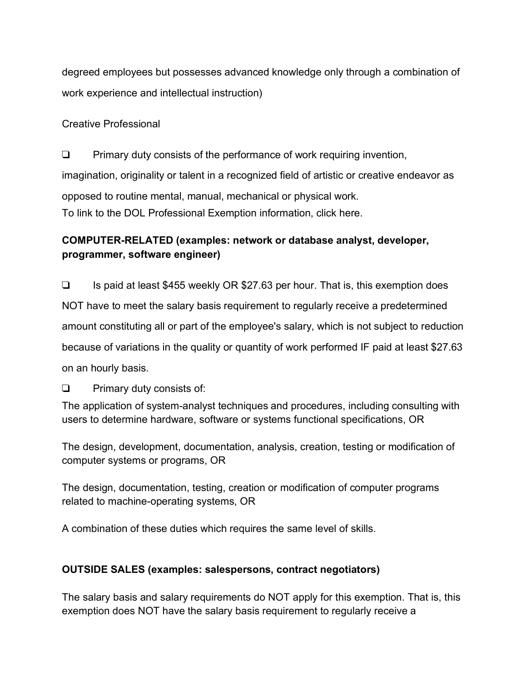degreed employees but possesses advanced knowledge only through a combination of work experience and intellectual instruction)

#### Creative Professional

❑ Primary duty consists of the performance of work requiring invention, imagination, originality or talent in a recognized field of artistic or creative endeavor as opposed to routine mental, manual, mechanical or physical work. To link to the DOL Professional Exemption information, click here.

## **COMPUTER-RELATED (examples: network or database analyst, developer, programmer, software engineer)**

❑ Is paid at least \$455 weekly OR \$27.63 per hour. That is, this exemption does NOT have to meet the salary basis requirement to regularly receive a predetermined amount constituting all or part of the employee's salary, which is not subject to reduction because of variations in the quality or quantity of work performed IF paid at least \$27.63 on an hourly basis.

❑ Primary duty consists of:

The application of system-analyst techniques and procedures, including consulting with users to determine hardware, software or systems functional specifications, OR

The design, development, documentation, analysis, creation, testing or modification of computer systems or programs, OR

The design, documentation, testing, creation or modification of computer programs related to machine-operating systems, OR

A combination of these duties which requires the same level of skills.

## **OUTSIDE SALES (examples: salespersons, contract negotiators)**

The salary basis and salary requirements do NOT apply for this exemption. That is, this exemption does NOT have the salary basis requirement to regularly receive a